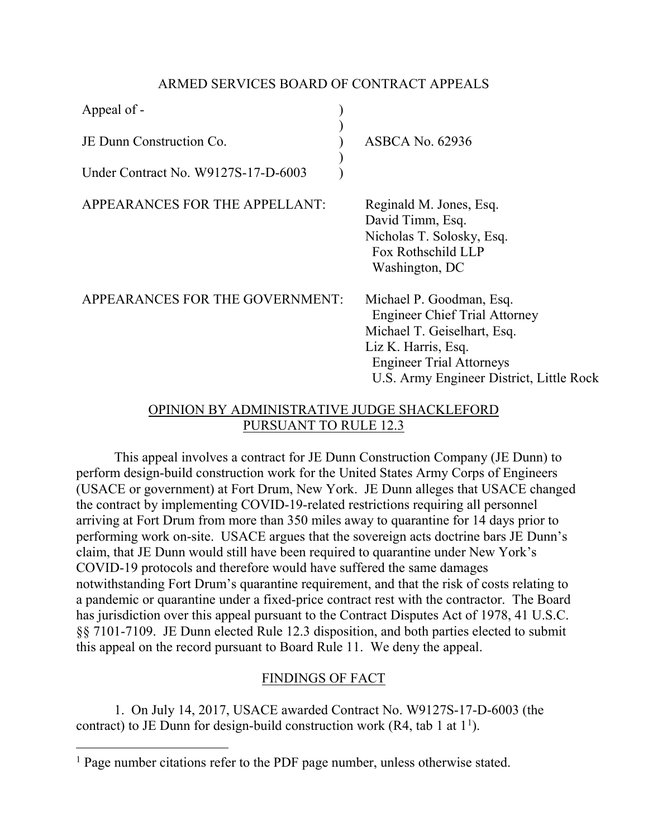### ARMED SERVICES BOARD OF CONTRACT APPEALS

| Appeal of -                                         |                                                                                                                                                                                                       |
|-----------------------------------------------------|-------------------------------------------------------------------------------------------------------------------------------------------------------------------------------------------------------|
| JE Dunn Construction Co.                            | <b>ASBCA No. 62936</b>                                                                                                                                                                                |
| Under Contract No. W9127S-17-D-6003                 |                                                                                                                                                                                                       |
| APPEARANCES FOR THE APPELLANT:                      | Reginald M. Jones, Esq.<br>David Timm, Esq.<br>Nicholas T. Solosky, Esq.<br>Fox Rothschild LLP<br>Washington, DC                                                                                      |
| APPEARANCES FOR THE GOVERNMENT:                     | Michael P. Goodman, Esq.<br><b>Engineer Chief Trial Attorney</b><br>Michael T. Geiselhart, Esq.<br>Liz K. Harris, Esq.<br><b>Engineer Trial Attorneys</b><br>U.S. Army Engineer District, Little Rock |
| ODINIONI DV. A DMINICTD A TIVE ILIDOE CHA OVI EEODD |                                                                                                                                                                                                       |

## OPINION BY ADMINISTRATIVE JUDGE SHACKLEFORD PURSUANT TO RULE 12.3

This appeal involves a contract for JE Dunn Construction Company (JE Dunn) to perform design-build construction work for the United States Army Corps of Engineers (USACE or government) at Fort Drum, New York. JE Dunn alleges that USACE changed the contract by implementing COVID-19-related restrictions requiring all personnel arriving at Fort Drum from more than 350 miles away to quarantine for 14 days prior to performing work on-site. USACE argues that the sovereign acts doctrine bars JE Dunn's claim, that JE Dunn would still have been required to quarantine under New York's COVID-19 protocols and therefore would have suffered the same damages notwithstanding Fort Drum's quarantine requirement, and that the risk of costs relating to a pandemic or quarantine under a fixed-price contract rest with the contractor. The Board has jurisdiction over this appeal pursuant to the Contract Disputes Act of 1978, 41 U.S.C. §§ 7101-7109. JE Dunn elected Rule 12.3 disposition, and both parties elected to submit this appeal on the record pursuant to Board Rule 11. We deny the appeal.

# FINDINGS OF FACT

1. On July 14, 2017, USACE awarded Contract No. W9127S-17-D-6003 (the contract) to JE Dunn for design-build construction work (R4, tab [1](#page-0-0) at  $1^1$ ).

<span id="page-0-0"></span><sup>&</sup>lt;sup>1</sup> Page number citations refer to the PDF page number, unless otherwise stated.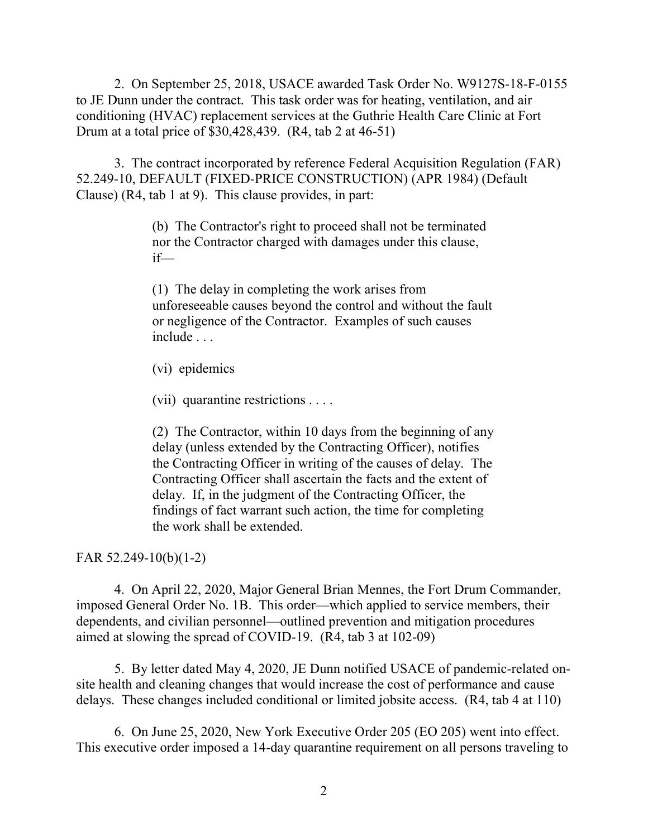2. On September 25, 2018, USACE awarded Task Order No. W9127S-18-F-0155 to JE Dunn under the contract. This task order was for heating, ventilation, and air conditioning (HVAC) replacement services at the Guthrie Health Care Clinic at Fort Drum at a total price of \$30,428,439. (R4, tab 2 at 46-51)

3. The contract incorporated by reference Federal Acquisition Regulation (FAR) 52.249-10, DEFAULT (FIXED-PRICE CONSTRUCTION) (APR 1984) (Default Clause) (R4, tab 1 at 9). This clause provides, in part:

> (b) The Contractor's right to proceed shall not be terminated nor the Contractor charged with damages under this clause, if—

(1) The delay in completing the work arises from unforeseeable causes beyond the control and without the fault or negligence of the Contractor. Examples of such causes include . . .

(vi) epidemics

(vii) quarantine restrictions . . . .

(2) The Contractor, within 10 days from the beginning of any delay (unless extended by the Contracting Officer), notifies the Contracting Officer in writing of the causes of delay. The Contracting Officer shall ascertain the facts and the extent of delay. If, in the judgment of the Contracting Officer, the findings of fact warrant such action, the time for completing the work shall be extended.

FAR 52.249-10(b)(1-2)

4. On April 22, 2020, Major General Brian Mennes, the Fort Drum Commander, imposed General Order No. 1B. This order—which applied to service members, their dependents, and civilian personnel—outlined prevention and mitigation procedures aimed at slowing the spread of COVID-19. (R4, tab 3 at 102-09)

5. By letter dated May 4, 2020, JE Dunn notified USACE of pandemic-related onsite health and cleaning changes that would increase the cost of performance and cause delays. These changes included conditional or limited jobsite access. (R4, tab 4 at 110)

6. On June 25, 2020, New York Executive Order 205 (EO 205) went into effect. This executive order imposed a 14-day quarantine requirement on all persons traveling to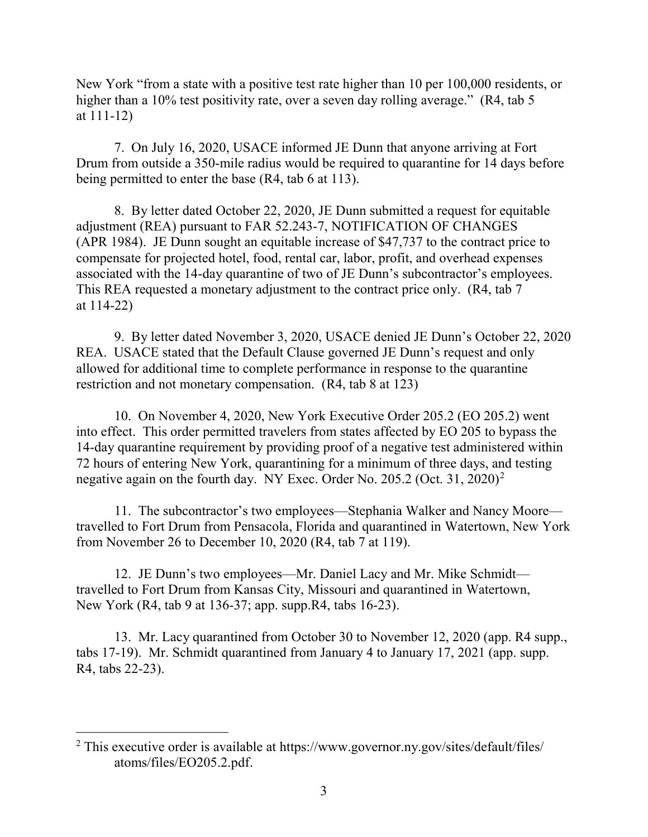New York "from a state with a positive test rate higher than 10 per 100,000 residents, or higher than a 10% test positivity rate, over a seven day rolling average." (R4, tab 5) at 111-12)

7. On July 16, 2020, USACE informed JE Dunn that anyone arriving at Fort Drum from outside a 350-mile radius would be required to quarantine for 14 days before being permitted to enter the base (R4, tab 6 at 113).

8. By letter dated October 22, 2020, JE Dunn submitted a request for equitable adjustment (REA) pursuant to FAR 52.243-7, NOTIFICATION OF CHANGES (APR 1984). JE Dunn sought an equitable increase of \$47,737 to the contract price to compensate for projected hotel, food, rental car, labor, profit, and overhead expenses associated with the 14-day quarantine of two of JE Dunn's subcontractor's employees. This REA requested a monetary adjustment to the contract price only. (R4, tab 7 at 114-22)

9. By letter dated November 3, 2020, USACE denied JE Dunn's October 22, 2020 REA. USACE stated that the Default Clause governed JE Dunn's request and only allowed for additional time to complete performance in response to the quarantine restriction and not monetary compensation. (R4, tab 8 at 123)

10. On November 4, 2020, New York Executive Order 205.2 (EO 205.2) went into effect. This order permitted travelers from states affected by EO 205 to bypass the 14-day quarantine requirement by providing proof of a negative test administered within 72 hours of entering New York, quarantining for a minimum of three days, and testing negative again on the fourth day. NY Exec. Order No. [2](#page-2-0)05.2 (Oct. 31, 2020)<sup>2</sup>

11. The subcontractor's two employees—Stephania Walker and Nancy Moore travelled to Fort Drum from Pensacola, Florida and quarantined in Watertown, New York from November 26 to December 10, 2020 (R4, tab 7 at 119).

12. JE Dunn's two employees—Mr. Daniel Lacy and Mr. Mike Schmidt travelled to Fort Drum from Kansas City, Missouri and quarantined in Watertown, New York (R4, tab 9 at 136-37; app. supp.R4, tabs 16-23).

13. Mr. Lacy quarantined from October 30 to November 12, 2020 (app. R4 supp., tabs 17-19). Mr. Schmidt quarantined from January 4 to January 17, 2021 (app. supp. R4, tabs 22-23).

<span id="page-2-0"></span><sup>&</sup>lt;sup>2</sup> This executive order is available at https://www.governor.ny.gov/sites/default/files/ atoms/files/EO205.2.pdf.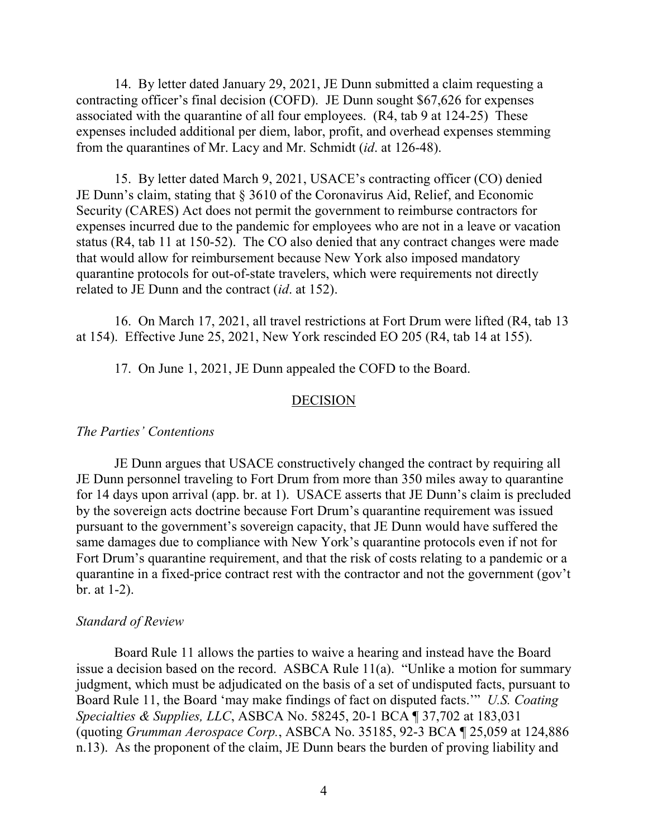14. By letter dated January 29, 2021, JE Dunn submitted a claim requesting a contracting officer's final decision (COFD). JE Dunn sought \$67,626 for expenses associated with the quarantine of all four employees. (R4, tab 9 at 124-25) These expenses included additional per diem, labor, profit, and overhead expenses stemming from the quarantines of Mr. Lacy and Mr. Schmidt (*id*. at 126-48).

15. By letter dated March 9, 2021, USACE's contracting officer (CO) denied JE Dunn's claim, stating that § 3610 of the Coronavirus Aid, Relief, and Economic Security (CARES) Act does not permit the government to reimburse contractors for expenses incurred due to the pandemic for employees who are not in a leave or vacation status (R4, tab 11 at 150-52). The CO also denied that any contract changes were made that would allow for reimbursement because New York also imposed mandatory quarantine protocols for out-of-state travelers, which were requirements not directly related to JE Dunn and the contract (*id*. at 152).

16. On March 17, 2021, all travel restrictions at Fort Drum were lifted (R4, tab 13 at 154). Effective June 25, 2021, New York rescinded EO 205 (R4, tab 14 at 155).

17. On June 1, 2021, JE Dunn appealed the COFD to the Board.

#### DECISION

#### *The Parties' Contentions*

JE Dunn argues that USACE constructively changed the contract by requiring all JE Dunn personnel traveling to Fort Drum from more than 350 miles away to quarantine for 14 days upon arrival (app. br. at 1). USACE asserts that JE Dunn's claim is precluded by the sovereign acts doctrine because Fort Drum's quarantine requirement was issued pursuant to the government's sovereign capacity, that JE Dunn would have suffered the same damages due to compliance with New York's quarantine protocols even if not for Fort Drum's quarantine requirement, and that the risk of costs relating to a pandemic or a quarantine in a fixed-price contract rest with the contractor and not the government (gov't br. at 1-2).

#### *Standard of Review*

Board Rule 11 allows the parties to waive a hearing and instead have the Board issue a decision based on the record. ASBCA Rule 11(a). "Unlike a motion for summary judgment, which must be adjudicated on the basis of a set of undisputed facts, pursuant to Board Rule 11, the Board 'may make findings of fact on disputed facts.'" *U.S. Coating Specialties & Supplies, LLC*, ASBCA No. 58245, 20-1 BCA ¶ 37,702 at 183,031 (quoting *Grumman Aerospace Corp.*, ASBCA No. 35185, 92-3 BCA ¶ 25,059 at 124,886 n.13). As the proponent of the claim, JE Dunn bears the burden of proving liability and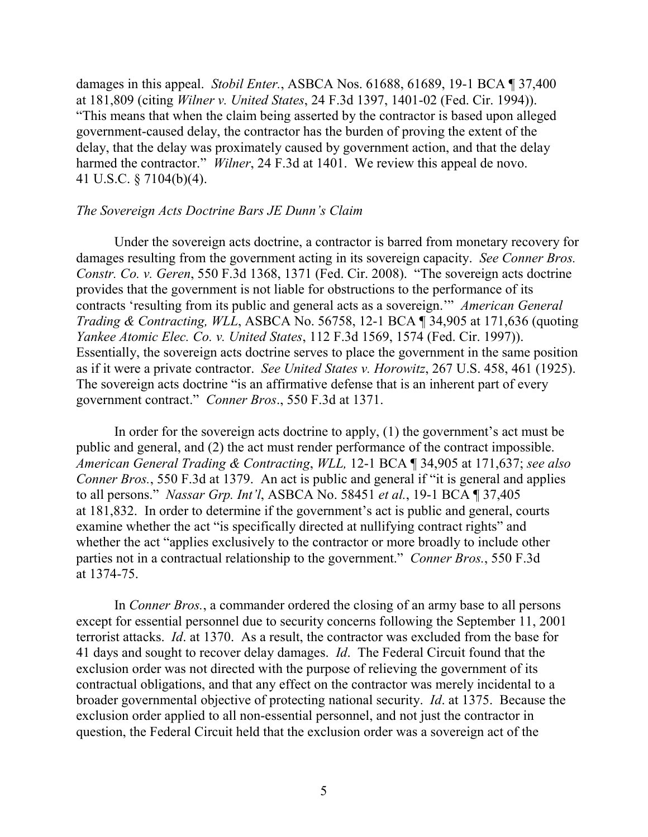damages in this appeal. *Stobil Enter.*, ASBCA Nos. 61688, 61689, 19-1 BCA ¶ 37,400 at 181,809 (citing *Wilner v. United States*, 24 F.3d 1397, 1401-02 (Fed. Cir. 1994)). "This means that when the claim being asserted by the contractor is based upon alleged government-caused delay, the contractor has the burden of proving the extent of the delay, that the delay was proximately caused by government action, and that the delay harmed the contractor." *Wilner*, 24 F.3d at 1401. We review this appeal de novo. 41 U.S.C. § 7104(b)(4).

#### *The Sovereign Acts Doctrine Bars JE Dunn's Claim*

Under the sovereign acts doctrine, a contractor is barred from monetary recovery for damages resulting from the government acting in its sovereign capacity. *See Conner Bros. Constr. Co. v. Geren*, 550 F.3d 1368, 1371 (Fed. Cir. 2008). "The sovereign acts doctrine provides that the government is not liable for obstructions to the performance of its contracts 'resulting from its public and general acts as a sovereign.'" *American General Trading & Contracting, WLL*, ASBCA No. 56758, 12-1 BCA ¶ 34,905 at 171,636 (quoting *Yankee Atomic Elec. Co. v. United States*, 112 F.3d 1569, 1574 (Fed. Cir. 1997)). Essentially, the sovereign acts doctrine serves to place the government in the same position as if it were a private contractor. *See United States v. Horowitz*, 267 U.S. 458, 461 (1925). The sovereign acts doctrine "is an affirmative defense that is an inherent part of every government contract." *Conner Bros*., 550 F.3d at 1371.

In order for the sovereign acts doctrine to apply, (1) the government's act must be public and general, and (2) the act must render performance of the contract impossible. *American General Trading & Contracting*, *WLL,* 12-1 BCA ¶ 34,905 at 171,637; *see also Conner Bros.*, 550 F.3d at 1379. An act is public and general if "it is general and applies to all persons." *Nassar Grp. Int'l*, ASBCA No. 58451 *et al.*, 19-1 BCA ¶ 37,405 at 181,832. In order to determine if the government's act is public and general, courts examine whether the act "is specifically directed at nullifying contract rights" and whether the act "applies exclusively to the contractor or more broadly to include other parties not in a contractual relationship to the government." *Conner Bros.*, 550 F.3d at 1374-75.

In *Conner Bros.*, a commander ordered the closing of an army base to all persons except for essential personnel due to security concerns following the September 11, 2001 terrorist attacks. *Id*. at 1370. As a result, the contractor was excluded from the base for 41 days and sought to recover delay damages. *Id*. The Federal Circuit found that the exclusion order was not directed with the purpose of relieving the government of its contractual obligations, and that any effect on the contractor was merely incidental to a broader governmental objective of protecting national security. *Id*. at 1375. Because the exclusion order applied to all non-essential personnel, and not just the contractor in question, the Federal Circuit held that the exclusion order was a sovereign act of the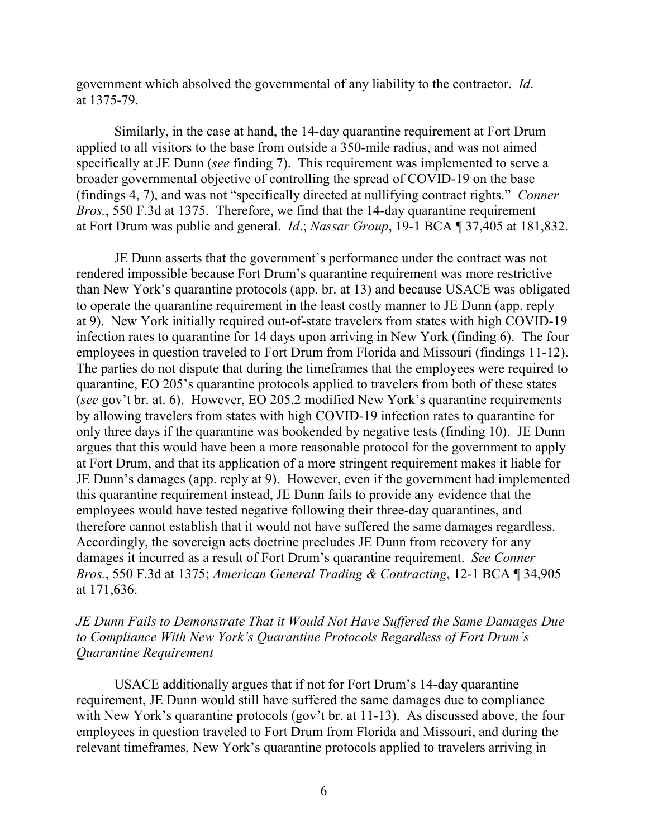government which absolved the governmental of any liability to the contractor. *Id*. at 1375-79.

Similarly, in the case at hand, the 14-day quarantine requirement at Fort Drum applied to all visitors to the base from outside a 350-mile radius, and was not aimed specifically at JE Dunn (*see* finding 7). This requirement was implemented to serve a broader governmental objective of controlling the spread of COVID-19 on the base (findings 4, 7), and was not "specifically directed at nullifying contract rights." *Conner Bros.*, 550 F.3d at 1375. Therefore, we find that the 14-day quarantine requirement at Fort Drum was public and general. *Id*.; *Nassar Group*, 19-1 BCA ¶ 37,405 at 181,832.

JE Dunn asserts that the government's performance under the contract was not rendered impossible because Fort Drum's quarantine requirement was more restrictive than New York's quarantine protocols (app. br. at 13) and because USACE was obligated to operate the quarantine requirement in the least costly manner to JE Dunn (app. reply at 9). New York initially required out-of-state travelers from states with high COVID-19 infection rates to quarantine for 14 days upon arriving in New York (finding 6). The four employees in question traveled to Fort Drum from Florida and Missouri (findings 11-12). The parties do not dispute that during the timeframes that the employees were required to quarantine, EO 205's quarantine protocols applied to travelers from both of these states (*see* gov't br. at. 6). However, EO 205.2 modified New York's quarantine requirements by allowing travelers from states with high COVID-19 infection rates to quarantine for only three days if the quarantine was bookended by negative tests (finding 10). JE Dunn argues that this would have been a more reasonable protocol for the government to apply at Fort Drum, and that its application of a more stringent requirement makes it liable for JE Dunn's damages (app. reply at 9). However, even if the government had implemented this quarantine requirement instead, JE Dunn fails to provide any evidence that the employees would have tested negative following their three-day quarantines, and therefore cannot establish that it would not have suffered the same damages regardless. Accordingly, the sovereign acts doctrine precludes JE Dunn from recovery for any damages it incurred as a result of Fort Drum's quarantine requirement. *See Conner Bros.*, 550 F.3d at 1375; *American General Trading & Contracting*, 12-1 BCA ¶ 34,905 at 171,636.

*JE Dunn Fails to Demonstrate That it Would Not Have Suffered the Same Damages Due to Compliance With New York's Quarantine Protocols Regardless of Fort Drum's Quarantine Requirement*

USACE additionally argues that if not for Fort Drum's 14-day quarantine requirement, JE Dunn would still have suffered the same damages due to compliance with New York's quarantine protocols (gov't br. at 11-13). As discussed above, the four employees in question traveled to Fort Drum from Florida and Missouri, and during the relevant timeframes, New York's quarantine protocols applied to travelers arriving in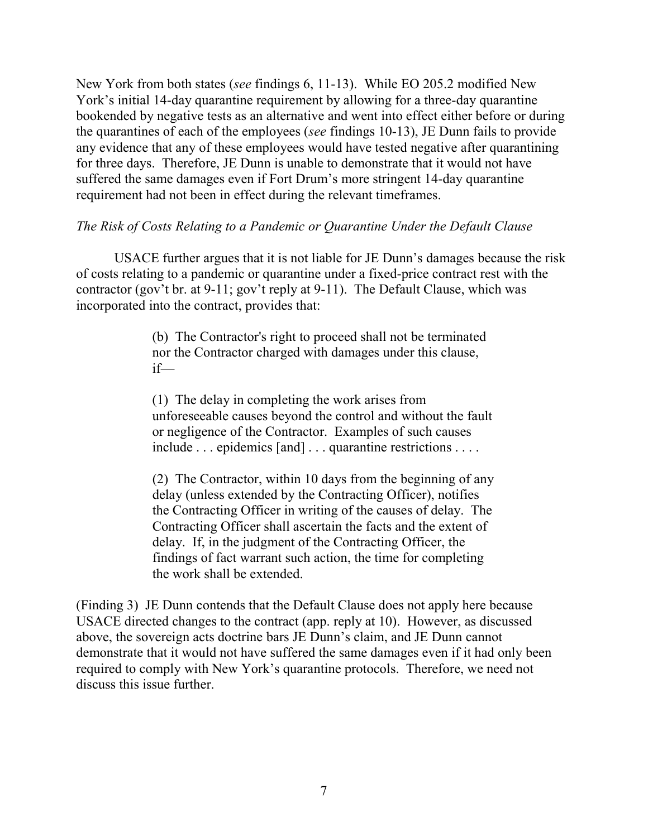New York from both states (*see* findings 6, 11-13). While EO 205.2 modified New York's initial 14-day quarantine requirement by allowing for a three-day quarantine bookended by negative tests as an alternative and went into effect either before or during the quarantines of each of the employees (*see* findings 10-13), JE Dunn fails to provide any evidence that any of these employees would have tested negative after quarantining for three days. Therefore, JE Dunn is unable to demonstrate that it would not have suffered the same damages even if Fort Drum's more stringent 14-day quarantine requirement had not been in effect during the relevant timeframes.

## *The Risk of Costs Relating to a Pandemic or Quarantine Under the Default Clause*

USACE further argues that it is not liable for JE Dunn's damages because the risk of costs relating to a pandemic or quarantine under a fixed-price contract rest with the contractor (gov't br. at 9-11; gov't reply at 9-11). The Default Clause, which was incorporated into the contract, provides that:

> (b) The Contractor's right to proceed shall not be terminated nor the Contractor charged with damages under this clause, if—

(1) The delay in completing the work arises from unforeseeable causes beyond the control and without the fault or negligence of the Contractor. Examples of such causes include ... epidemics [and] ... quarantine restrictions ....

(2) The Contractor, within 10 days from the beginning of any delay (unless extended by the Contracting Officer), notifies the Contracting Officer in writing of the causes of delay. The Contracting Officer shall ascertain the facts and the extent of delay. If, in the judgment of the Contracting Officer, the findings of fact warrant such action, the time for completing the work shall be extended.

(Finding 3) JE Dunn contends that the Default Clause does not apply here because USACE directed changes to the contract (app. reply at 10). However, as discussed above, the sovereign acts doctrine bars JE Dunn's claim, and JE Dunn cannot demonstrate that it would not have suffered the same damages even if it had only been required to comply with New York's quarantine protocols. Therefore, we need not discuss this issue further.